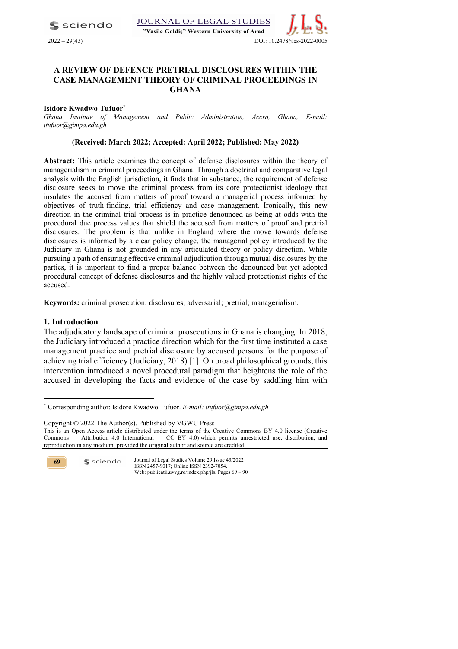$\blacktriangle$  sciendo

### JOURNAL OF LEGAL STUDIES

"Vasile Goldis" Western University of Arad



### **A REVIEW OF DEFENCE PRETRIAL DISCLOSURES WITHIN THE CASE MANAGEMENT THEORY OF CRIMINAL PROCEEDINGS IN GHANA**

### **Isidore Kwadwo Tufuor\***

*Ghana Institute of Management and Public Administration, Accra, Ghana, E-mail: itufuor@gimpa.edu.gh*

### **(Received: March 2022; Accepted: April 2022; Published: May 2022)**

**Abstract:** This article examines the concept of defense disclosures within the theory of managerialism in criminal proceedings in Ghana. Through a doctrinal and comparative legal analysis with the English jurisdiction, it finds that in substance, the requirement of defense disclosure seeks to move the criminal process from its core protectionist ideology that insulates the accused from matters of proof toward a managerial process informed by objectives of truth-finding, trial efficiency and case management. Ironically, this new direction in the criminal trial process is in practice denounced as being at odds with the procedural due process values that shield the accused from matters of proof and pretrial disclosures. The problem is that unlike in England where the move towards defense disclosures is informed by a clear policy change, the managerial policy introduced by the Judiciary in Ghana is not grounded in any articulated theory or policy direction. While pursuing a path of ensuring effective criminal adjudication through mutual disclosures by the parties, it is important to find a proper balance between the denounced but yet adopted procedural concept of defense disclosures and the highly valued protectionist rights of the accused.

**Keywords:** criminal prosecution; disclosures; adversarial; pretrial; managerialism.

### **1. Introduction**

The adjudicatory landscape of criminal prosecutions in Ghana is changing. In 2018, the Judiciary introduced a practice direction which for the first time instituted a case management practice and pretrial disclosure by accused persons for the purpose of achieving trial efficiency (Judiciary, 2018) [1]. On broad philosophical grounds, this intervention introduced a novel procedural paradigm that heightens the role of the accused in developing the facts and evidence of the case by saddling him with

Copyright © 2022 The Author(s). Published by VGWU Press This is an Open Access article distributed under the terms of the Creative Commons BY 4.0 license (Creative

**69**

<sup>\*</sup> Corresponding author: Isidore Kwadwo Tufuor. *E-mail: itufuor@gimpa.edu.gh*

Commons — Attribution 4.0 International — CC BY 4.0) which permits unrestricted use, distribution, and reproduction in any medium, provided the original author and source are credited.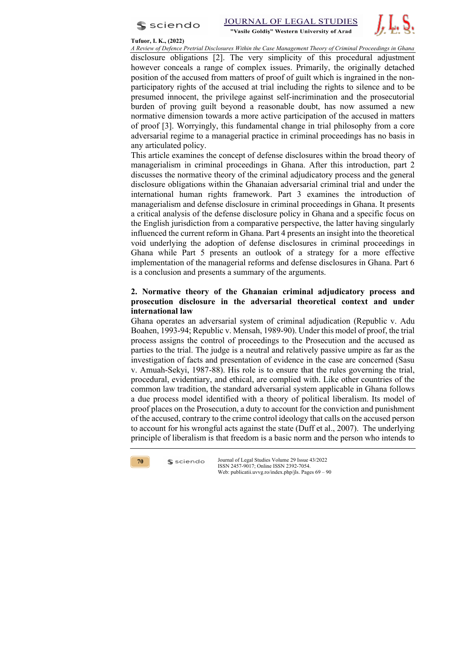



### **Tufuor, I. K., (2022)**

*A Review of Defence Pretrial Disclosures Within the Case Management Theory of Criminal Proceedings in Ghana* disclosure obligations [2]. The very simplicity of this procedural adjustment however conceals a range of complex issues. Primarily, the originally detached position of the accused from matters of proof of guilt which is ingrained in the nonparticipatory rights of the accused at trial including the rights to silence and to be presumed innocent, the privilege against self-incrimination and the prosecutorial burden of proving guilt beyond a reasonable doubt, has now assumed a new normative dimension towards a more active participation of the accused in matters of proof [3]. Worryingly, this fundamental change in trial philosophy from a core adversarial regime to a managerial practice in criminal proceedings has no basis in any articulated policy.

This article examines the concept of defense disclosures within the broad theory of managerialism in criminal proceedings in Ghana. After this introduction, part 2 discusses the normative theory of the criminal adjudicatory process and the general disclosure obligations within the Ghanaian adversarial criminal trial and under the international human rights framework. Part 3 examines the introduction of managerialism and defense disclosure in criminal proceedings in Ghana. It presents a critical analysis of the defense disclosure policy in Ghana and a specific focus on the English jurisdiction from a comparative perspective, the latter having singularly influenced the current reform in Ghana. Part 4 presents an insight into the theoretical void underlying the adoption of defense disclosures in criminal proceedings in Ghana while Part 5 presents an outlook of a strategy for a more effective implementation of the managerial reforms and defense disclosures in Ghana. Part 6 is a conclusion and presents a summary of the arguments.

# **2. Normative theory of the Ghanaian criminal adjudicatory process and prosecution disclosure in the adversarial theoretical context and under international law**

Ghana operates an adversarial system of criminal adjudication (Republic v. Adu Boahen, 1993-94; Republic v. Mensah, 1989-90). Under this model of proof, the trial process assigns the control of proceedings to the Prosecution and the accused as parties to the trial. The judge is a neutral and relatively passive umpire as far as the investigation of facts and presentation of evidence in the case are concerned (Sasu v. Amuah-Sekyi, 1987-88). His role is to ensure that the rules governing the trial, procedural, evidentiary, and ethical, are complied with. Like other countries of the common law tradition, the standard adversarial system applicable in Ghana follows a due process model identified with a theory of political liberalism. Its model of proof places on the Prosecution, a duty to account for the conviction and punishment of the accused, contrary to the crime control ideology that calls on the accused person to account for his wrongful acts against the state (Duff et al., 2007). The underlying principle of liberalism is that freedom is a basic norm and the person who intends to



 $s$  sciendo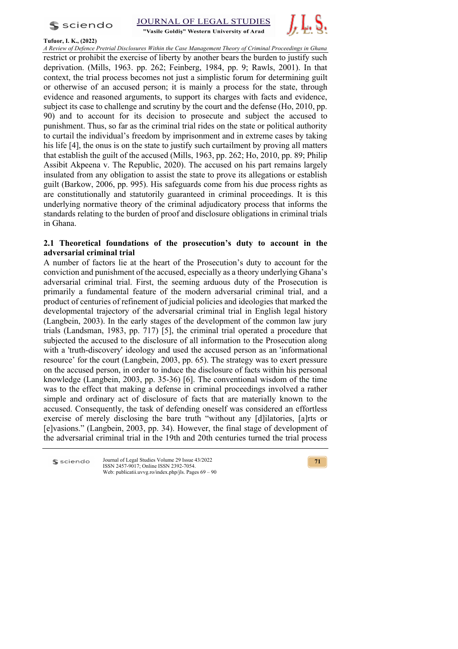



"Vasile Goldis" Western University of Arad



### **Tufuor, I. K., (2022)**

*A Review of Defence Pretrial Disclosures Within the Case Management Theory of Criminal Proceedings in Ghana* restrict or prohibit the exercise of liberty by another bears the burden to justify such deprivation. (Mills, 1963. pp. 262; Feinberg, 1984, pp. 9; Rawls, 2001). In that context, the trial process becomes not just a simplistic forum for determining guilt or otherwise of an accused person; it is mainly a process for the state, through evidence and reasoned arguments, to support its charges with facts and evidence, subject its case to challenge and scrutiny by the court and the defense (Ho, 2010, pp. 90) and to account for its decision to prosecute and subject the accused to punishment. Thus, so far as the criminal trial rides on the state or political authority to curtail the individual's freedom by imprisonment and in extreme cases by taking his life [4], the onus is on the state to justify such curtailment by proving all matters that establish the guilt of the accused (Mills, 1963, pp. 262; Ho, 2010, pp. 89; Philip Assibit Akpeena v. The Republic, 2020). The accused on his part remains largely insulated from any obligation to assist the state to prove its allegations or establish guilt (Barkow, 2006, pp. 995). His safeguards come from his due process rights as are constitutionally and statutorily guaranteed in criminal proceedings. It is this underlying normative theory of the criminal adjudicatory process that informs the standards relating to the burden of proof and disclosure obligations in criminal trials in Ghana.

# **2.1 Theoretical foundations of the prosecution's duty to account in the adversarial criminal trial**

A number of factors lie at the heart of the Prosecution's duty to account for the conviction and punishment of the accused, especially as a theory underlying Ghana's adversarial criminal trial. First, the seeming arduous duty of the Prosecution is primarily a fundamental feature of the modern adversarial criminal trial, and a product of centuries of refinement of judicial policies and ideologies that marked the developmental trajectory of the adversarial criminal trial in English legal history (Langbein, 2003). In the early stages of the development of the common law jury trials (Landsman, 1983, pp. 717) [5], the criminal trial operated a procedure that subjected the accused to the disclosure of all information to the Prosecution along with a 'truth-discovery' ideology and used the accused person as an 'informational resource' for the court (Langbein, 2003, pp. 65). The strategy was to exert pressure on the accused person, in order to induce the disclosure of facts within his personal knowledge (Langbein, 2003, pp. 35-36) [6]. The conventional wisdom of the time was to the effect that making a defense in criminal proceedings involved a rather simple and ordinary act of disclosure of facts that are materially known to the accused. Consequently, the task of defending oneself was considered an effortless exercise of merely disclosing the bare truth "without any [d]ilatories, [a]rts or [e]vasions." (Langbein, 2003, pp. 34). However, the final stage of development of the adversarial criminal trial in the 19th and 20th centuries turned the trial process

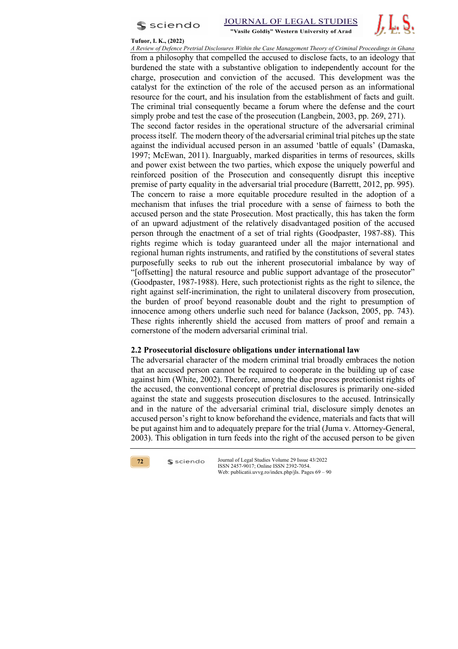

JOURNAL OF LEGAL STUDIES



"Vasile Goldis" Western University of Arad



*A Review of Defence Pretrial Disclosures Within the Case Management Theory of Criminal Proceedings in Ghana* from a philosophy that compelled the accused to disclose facts, to an ideology that burdened the state with a substantive obligation to independently account for the charge, prosecution and conviction of the accused. This development was the catalyst for the extinction of the role of the accused person as an informational resource for the court, and his insulation from the establishment of facts and guilt. The criminal trial consequently became a forum where the defense and the court simply probe and test the case of the prosecution (Langbein, 2003, pp. 269, 271). The second factor resides in the operational structure of the adversarial criminal process itself. The modern theory of the adversarial criminal trial pitches up the state against the individual accused person in an assumed 'battle of equals' (Damaska, 1997; McEwan, 2011). Inarguably, marked disparities in terms of resources, skills and power exist between the two parties, which expose the uniquely powerful and reinforced position of the Prosecution and consequently disrupt this inceptive premise of party equality in the adversarial trial procedure (Barrettt, 2012, pp. 995). The concern to raise a more equitable procedure resulted in the adoption of a mechanism that infuses the trial procedure with a sense of fairness to both the accused person and the state Prosecution. Most practically, this has taken the form of an upward adjustment of the relatively disadvantaged position of the accused person through the enactment of a set of trial rights (Goodpaster, 1987-88). This rights regime which is today guaranteed under all the major international and regional human rights instruments, and ratified by the constitutions of several states purposefully seeks to rub out the inherent prosecutorial imbalance by way of "[offsetting] the natural resource and public support advantage of the prosecutor" (Goodpaster, 1987-1988). Here, such protectionist rights as the right to silence, the right against self-incrimination, the right to unilateral discovery from prosecution, the burden of proof beyond reasonable doubt and the right to presumption of innocence among others underlie such need for balance (Jackson, 2005, pp. 743). These rights inherently shield the accused from matters of proof and remain a cornerstone of the modern adversarial criminal trial.

# **2.2 Prosecutorial disclosure obligations under international law**

The adversarial character of the modern criminal trial broadly embraces the notion that an accused person cannot be required to cooperate in the building up of case against him (White, 2002). Therefore, among the due process protectionist rights of the accused, the conventional concept of pretrial disclosures is primarily one-sided against the state and suggests prosecution disclosures to the accused. Intrinsically and in the nature of the adversarial criminal trial, disclosure simply denotes an accused person's right to know beforehand the evidence, materials and facts that will be put against him and to adequately prepare for the trial (Juma v. Attorney-General, 2003). This obligation in turn feeds into the right of the accused person to be given



 $s$  sciendo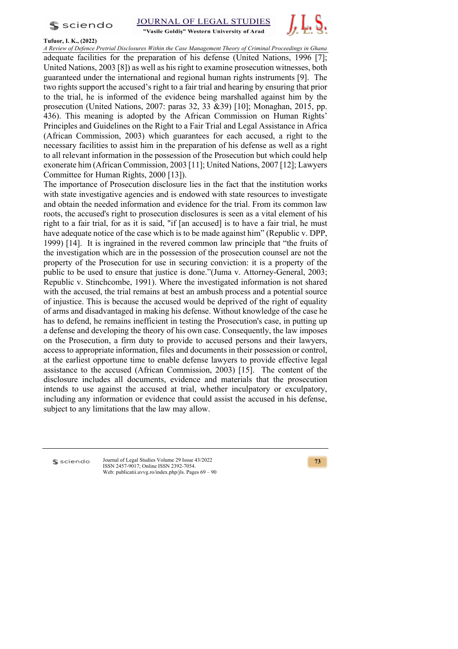$s$  sciendo

**JOURNAL OF LEGAI STUDIES** 





### **Tufuor, I. K., (2022)**

*A Review of Defence Pretrial Disclosures Within the Case Management Theory of Criminal Proceedings in Ghana* adequate facilities for the preparation of his defense (United Nations, 1996 [7]; United Nations, 2003 [8]) as well as his right to examine prosecution witnesses, both guaranteed under the international and regional human rights instruments [9]. The two rights support the accused's right to a fair trial and hearing by ensuring that prior to the trial, he is informed of the evidence being marshalled against him by the prosecution (United Nations, 2007: paras 32, 33 &39) [10]; Monaghan, 2015, pp. 436). This meaning is adopted by the African Commission on Human Rights' Principles and Guidelines on the Right to a Fair Trial and Legal Assistance in Africa (African Commission, 2003) which guarantees for each accused, a right to the necessary facilities to assist him in the preparation of his defense as well as a right to all relevant information in the possession of the Prosecution but which could help exonerate him (African Commission, 2003 [11]; United Nations, 2007 [12]; Lawyers Committee for Human Rights, 2000 [13]).

The importance of Prosecution disclosure lies in the fact that the institution works with state investigative agencies and is endowed with state resources to investigate and obtain the needed information and evidence for the trial. From its common law roots, the accused's right to prosecution disclosures is seen as a vital element of his right to a fair trial, for as it is said, "if [an accused] is to have a fair trial, he must have adequate notice of the case which is to be made against him" (Republic v. DPP, 1999) [14]. It is ingrained in the revered common law principle that "the fruits of the investigation which are in the possession of the prosecution counsel are not the property of the Prosecution for use in securing conviction: it is a property of the public to be used to ensure that justice is done."(Juma v. Attorney-General, 2003; Republic v. Stinchcombe, 1991). Where the investigated information is not shared with the accused, the trial remains at best an ambush process and a potential source of injustice. This is because the accused would be deprived of the right of equality of arms and disadvantaged in making his defense. Without knowledge of the case he has to defend, he remains inefficient in testing the Prosecution's case, in putting up a defense and developing the theory of his own case. Consequently, the law imposes on the Prosecution, a firm duty to provide to accused persons and their lawyers, access to appropriate information, files and documents in their possession or control, at the earliest opportune time to enable defense lawyers to provide effective legal assistance to the accused (African Commission, 2003) [15]. The content of the disclosure includes all documents, evidence and materials that the prosecution intends to use against the accused at trial, whether inculpatory or exculpatory, including any information or evidence that could assist the accused in his defense, subject to any limitations that the law may allow.

**S** sciendo

Journal of Legal Studies Volume 29 Issue 43/2022 ISSN 2457-9017; Online ISSN 2392-7054. Web: publicatii.uvvg.ro/index.php/jls. Pages 69 – 90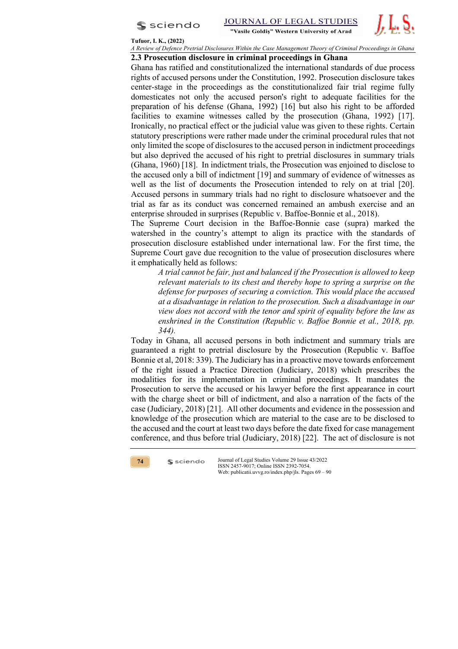



#### **Tufuor, I. K., (2022)**

*A Review of Defence Pretrial Disclosures Within the Case Management Theory of Criminal Proceedings in Ghana*

### **2.3 Prosecution disclosure in criminal proceedings in Ghana**

Ghana has ratified and constitutionalized the international standards of due process rights of accused persons under the Constitution, 1992. Prosecution disclosure takes center-stage in the proceedings as the constitutionalized fair trial regime fully domesticates not only the accused person's right to adequate facilities for the preparation of his defense (Ghana, 1992) [16] but also his right to be afforded facilities to examine witnesses called by the prosecution (Ghana, 1992) [17]. Ironically, no practical effect or the judicial value was given to these rights. Certain statutory prescriptions were rather made under the criminal procedural rules that not only limited the scope of disclosures to the accused person in indictment proceedings but also deprived the accused of his right to pretrial disclosures in summary trials (Ghana, 1960) [18]. In indictment trials, the Prosecution was enjoined to disclose to the accused only a bill of indictment [19] and summary of evidence of witnesses as well as the list of documents the Prosecution intended to rely on at trial [20]. Accused persons in summary trials had no right to disclosure whatsoever and the trial as far as its conduct was concerned remained an ambush exercise and an enterprise shrouded in surprises (Republic v. Baffoe-Bonnie et al., 2018).

The Supreme Court decision in the Baffoe-Bonnie case (supra) marked the watershed in the country's attempt to align its practice with the standards of prosecution disclosure established under international law. For the first time, the Supreme Court gave due recognition to the value of prosecution disclosures where it emphatically held as follows:

*A trial cannot be fair, just and balanced if the Prosecution is allowed to keep relevant materials to its chest and thereby hope to spring a surprise on the defense for purposes of securing a conviction. This would place the accused at a disadvantage in relation to the prosecution. Such a disadvantage in our view does not accord with the tenor and spirit of equality before the law as enshrined in the Constitution (Republic v. Baffoe Bonnie et al., 2018, pp. 344).*

Today in Ghana, all accused persons in both indictment and summary trials are guaranteed a right to pretrial disclosure by the Prosecution (Republic v. Baffoe Bonnie et al, 2018: 339). The Judiciary has in a proactive move towards enforcement of the right issued a Practice Direction (Judiciary, 2018) which prescribes the modalities for its implementation in criminal proceedings. It mandates the Prosecution to serve the accused or his lawyer before the first appearance in court with the charge sheet or bill of indictment, and also a narration of the facts of the case (Judiciary, 2018) [21]. All other documents and evidence in the possession and knowledge of the prosecution which are material to the case are to be disclosed to the accused and the court at least two days before the date fixed for case management conference, and thus before trial (Judiciary, 2018) [22]. The act of disclosure is not



 $s$  sciendo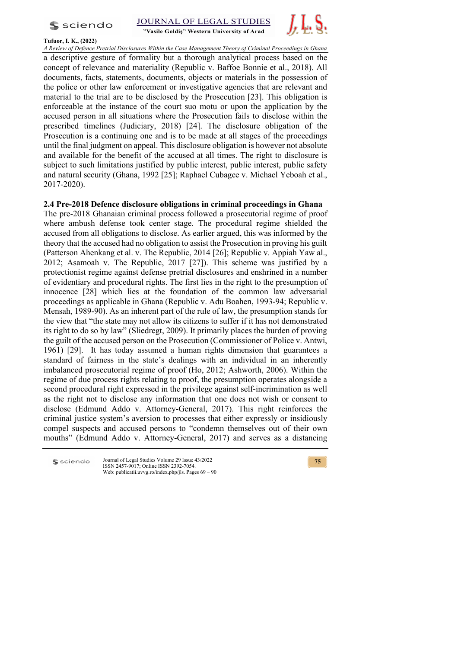

JOURNAL OF LEGAL STUDIES



### **Tufuor, I. K., (2022)**

*A Review of Defence Pretrial Disclosures Within the Case Management Theory of Criminal Proceedings in Ghana* a descriptive gesture of formality but a thorough analytical process based on the concept of relevance and materiality (Republic v. Baffoe Bonnie et al., 2018). All documents, facts, statements, documents, objects or materials in the possession of the police or other law enforcement or investigative agencies that are relevant and material to the trial are to be disclosed by the Prosecution [23]. This obligation is enforceable at the instance of the court suo motu or upon the application by the accused person in all situations where the Prosecution fails to disclose within the prescribed timelines (Judiciary, 2018) [24]. The disclosure obligation of the Prosecution is a continuing one and is to be made at all stages of the proceedings until the final judgment on appeal. This disclosure obligation is however not absolute and available for the benefit of the accused at all times. The right to disclosure is subject to such limitations justified by public interest, public interest, public safety and natural security (Ghana, 1992 [25]; Raphael Cubagee v. Michael Yeboah et al., 2017-2020).

# **2.4 Pre-2018 Defence disclosure obligations in criminal proceedings in Ghana**

The pre-2018 Ghanaian criminal process followed a prosecutorial regime of proof where ambush defense took center stage. The procedural regime shielded the accused from all obligations to disclose. As earlier argued, this was informed by the theory that the accused had no obligation to assist the Prosecution in proving his guilt (Patterson Ahenkang et al. v. The Republic, 2014 [26]; Republic v. Appiah Yaw al., 2012; Asamoah v. The Republic, 2017 [27]). This scheme was justified by a protectionist regime against defense pretrial disclosures and enshrined in a number of evidentiary and procedural rights. The first lies in the right to the presumption of innocence [28] which lies at the foundation of the common law adversarial proceedings as applicable in Ghana (Republic v. Adu Boahen, 1993-94; Republic v. Mensah, 1989-90). As an inherent part of the rule of law, the presumption stands for the view that "the state may not allow its citizens to suffer if it has not demonstrated its right to do so by law" (Sliedregt, 2009). It primarily places the burden of proving the guilt of the accused person on the Prosecution (Commissioner of Police v. Antwi, 1961) [29]. It has today assumed a human rights dimension that guarantees a standard of fairness in the state's dealings with an individual in an inherently imbalanced prosecutorial regime of proof (Ho, 2012; Ashworth, 2006). Within the regime of due process rights relating to proof, the presumption operates alongside a second procedural right expressed in the privilege against self-incrimination as well as the right not to disclose any information that one does not wish or consent to disclose (Edmund Addo v. Attorney-General, 2017). This right reinforces the criminal justice system's aversion to processes that either expressly or insidiously compel suspects and accused persons to "condemn themselves out of their own mouths" (Edmund Addo v. Attorney-General, 2017) and serves as a distancing

Journal of Legal Studies Volume 29 Issue 43/2022 sciendo ISSN 2457-9017; Online ISSN 2392-7054. Web: publicatii.uvvg.ro/index.php/jls. Pages 69 – 90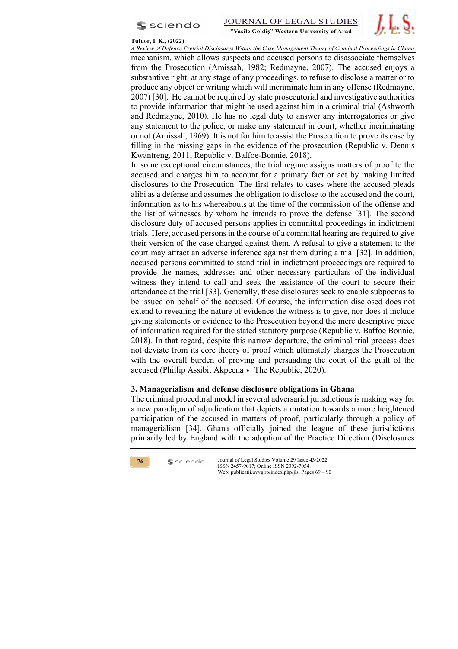



### **Tufuor, I. K., (2022)**

*A Review of Defence Pretrial Disclosures Within the Case Management Theory of Criminal Proceedings in Ghana* mechanism, which allows suspects and accused persons to disassociate themselves from the Prosecution (Amissah, 1982; Redmayne, 2007). The accused enjoys a substantive right, at any stage of any proceedings, to refuse to disclose a matter or to produce any object or writing which will incriminate him in any offense (Redmayne, 2007) [30]. He cannot be required by state prosecutorial and investigative authorities to provide information that might be used against him in a criminal trial (Ashworth and Redmayne, 2010). He has no legal duty to answer any interrogatories or give any statement to the police, or make any statement in court, whether incriminating or not (Amissah, 1969). It is not for him to assist the Prosecution to prove its case by filling in the missing gaps in the evidence of the prosecution (Republic v. Dennis Kwantreng, 2011; Republic v. Baffoe-Bonnie, 2018).

In some exceptional circumstances, the trial regime assigns matters of proof to the accused and charges him to account for a primary fact or act by making limited disclosures to the Prosecution. The first relates to cases where the accused pleads alibi as a defense and assumes the obligation to disclose to the accused and the court, information as to his whereabouts at the time of the commission of the offense and the list of witnesses by whom he intends to prove the defense [31]. The second disclosure duty of accused persons applies in committal proceedings in indictment trials. Here, accused persons in the course of a committal hearing are required to give their version of the case charged against them. A refusal to give a statement to the court may attract an adverse inference against them during a trial [32]. In addition, accused persons committed to stand trial in indictment proceedings are required to provide the names, addresses and other necessary particulars of the individual witness they intend to call and seek the assistance of the court to secure their attendance at the trial [33]. Generally, these disclosures seek to enable subpoenas to be issued on behalf of the accused. Of course, the information disclosed does not extend to revealing the nature of evidence the witness is to give, nor does it include giving statements or evidence to the Prosecution beyond the mere descriptive piece of information required for the stated statutory purpose (Republic v. Baffoe Bonnie, 2018). In that regard, despite this narrow departure, the criminal trial process does not deviate from its core theory of proof which ultimately charges the Prosecution with the overall burden of proving and persuading the court of the guilt of the accused (Phillip Assibit Akpeena v. The Republic, 2020).

### **3. Managerialism and defense disclosure obligations in Ghana**

The criminal procedural model in several adversarial jurisdictions is making way for a new paradigm of adjudication that depicts a mutation towards a more heightened participation of the accused in matters of proof, particularly through a policy of managerialism [34]. Ghana officially joined the league of these jurisdictions primarily led by England with the adoption of the Practice Direction (Disclosures



 $s$  sciendo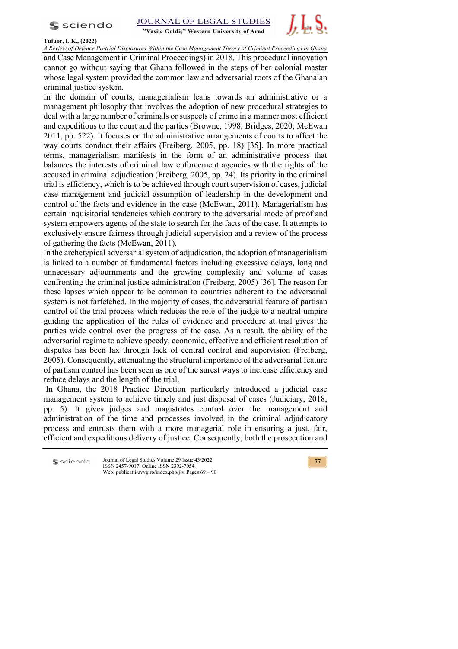$s$  sciendo



"Vasile Goldis" Western University of Arad



### **Tufuor, I. K., (2022)**

*A Review of Defence Pretrial Disclosures Within the Case Management Theory of Criminal Proceedings in Ghana* and Case Management in Criminal Proceedings) in 2018. This procedural innovation cannot go without saying that Ghana followed in the steps of her colonial master whose legal system provided the common law and adversarial roots of the Ghanaian criminal justice system.

In the domain of courts, managerialism leans towards an administrative or a management philosophy that involves the adoption of new procedural strategies to deal with a large number of criminals or suspects of crime in a manner most efficient and expeditious to the court and the parties (Browne, 1998; Bridges, 2020; McEwan 2011, pp. 522). It focuses on the administrative arrangements of courts to affect the way courts conduct their affairs (Freiberg, 2005, pp. 18) [35]. In more practical terms, managerialism manifests in the form of an administrative process that balances the interests of criminal law enforcement agencies with the rights of the accused in criminal adjudication (Freiberg, 2005, pp. 24). Its priority in the criminal trial is efficiency, which is to be achieved through court supervision of cases, judicial case management and judicial assumption of leadership in the development and control of the facts and evidence in the case (McEwan, 2011). Managerialism has certain inquisitorial tendencies which contrary to the adversarial mode of proof and system empowers agents of the state to search for the facts of the case. It attempts to exclusively ensure fairness through judicial supervision and a review of the process of gathering the facts (McEwan, 2011).

In the archetypical adversarial system of adjudication, the adoption of managerialism is linked to a number of fundamental factors including excessive delays, long and unnecessary adjournments and the growing complexity and volume of cases confronting the criminal justice administration (Freiberg, 2005) [36]. The reason for these lapses which appear to be common to countries adherent to the adversarial system is not farfetched. In the majority of cases, the adversarial feature of partisan control of the trial process which reduces the role of the judge to a neutral umpire guiding the application of the rules of evidence and procedure at trial gives the parties wide control over the progress of the case. As a result, the ability of the adversarial regime to achieve speedy, economic, effective and efficient resolution of disputes has been lax through lack of central control and supervision (Freiberg, 2005). Consequently, attenuating the structural importance of the adversarial feature of partisan control has been seen as one of the surest ways to increase efficiency and reduce delays and the length of the trial.

In Ghana, the 2018 Practice Direction particularly introduced a judicial case management system to achieve timely and just disposal of cases (Judiciary, 2018, pp. 5). It gives judges and magistrates control over the management and administration of the time and processes involved in the criminal adjudicatory process and entrusts them with a more managerial role in ensuring a just, fair, efficient and expeditious delivery of justice. Consequently, both the prosecution and

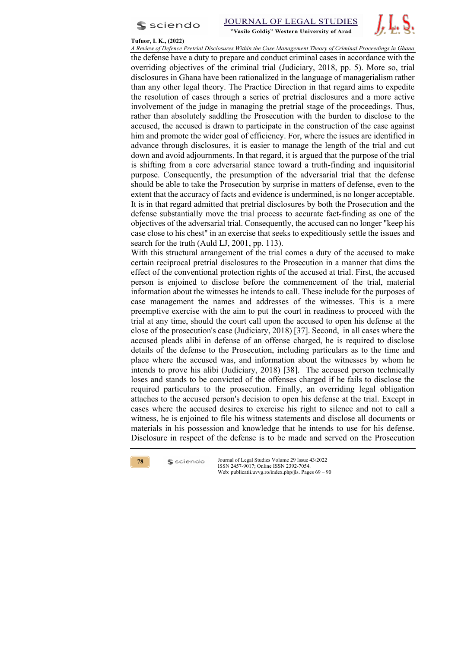



#### **Tufuor, I. K., (2022)**

*A Review of Defence Pretrial Disclosures Within the Case Management Theory of Criminal Proceedings in Ghana* the defense have a duty to prepare and conduct criminal cases in accordance with the overriding objectives of the criminal trial (Judiciary, 2018, pp. 5). More so, trial disclosures in Ghana have been rationalized in the language of managerialism rather than any other legal theory. The Practice Direction in that regard aims to expedite the resolution of cases through a series of pretrial disclosures and a more active involvement of the judge in managing the pretrial stage of the proceedings. Thus, rather than absolutely saddling the Prosecution with the burden to disclose to the accused, the accused is drawn to participate in the construction of the case against him and promote the wider goal of efficiency. For, where the issues are identified in advance through disclosures, it is easier to manage the length of the trial and cut down and avoid adjournments. In that regard, it is argued that the purpose of the trial is shifting from a core adversarial stance toward a truth-finding and inquisitorial purpose. Consequently, the presumption of the adversarial trial that the defense should be able to take the Prosecution by surprise in matters of defense, even to the extent that the accuracy of facts and evidence is undermined, is no longer acceptable. It is in that regard admitted that pretrial disclosures by both the Prosecution and the defense substantially move the trial process to accurate fact-finding as one of the objectives of the adversarial trial. Consequently, the accused can no longer "keep his case close to his chest" in an exercise that seeks to expeditiously settle the issues and search for the truth (Auld LJ, 2001, pp. 113).

With this structural arrangement of the trial comes a duty of the accused to make certain reciprocal pretrial disclosures to the Prosecution in a manner that dims the effect of the conventional protection rights of the accused at trial. First, the accused person is enjoined to disclose before the commencement of the trial, material information about the witnesses he intends to call. These include for the purposes of case management the names and addresses of the witnesses. This is a mere preemptive exercise with the aim to put the court in readiness to proceed with the trial at any time, should the court call upon the accused to open his defense at the close of the prosecution's case (Judiciary, 2018) [37]. Second, in all cases where the accused pleads alibi in defense of an offense charged, he is required to disclose details of the defense to the Prosecution, including particulars as to the time and place where the accused was, and information about the witnesses by whom he intends to prove his alibi (Judiciary, 2018) [38]. The accused person technically loses and stands to be convicted of the offenses charged if he fails to disclose the required particulars to the prosecution. Finally, an overriding legal obligation attaches to the accused person's decision to open his defense at the trial. Except in cases where the accused desires to exercise his right to silence and not to call a witness, he is enjoined to file his witness statements and disclose all documents or materials in his possession and knowledge that he intends to use for his defense. Disclosure in respect of the defense is to be made and served on the Prosecution

**78**

 $s$  sciendo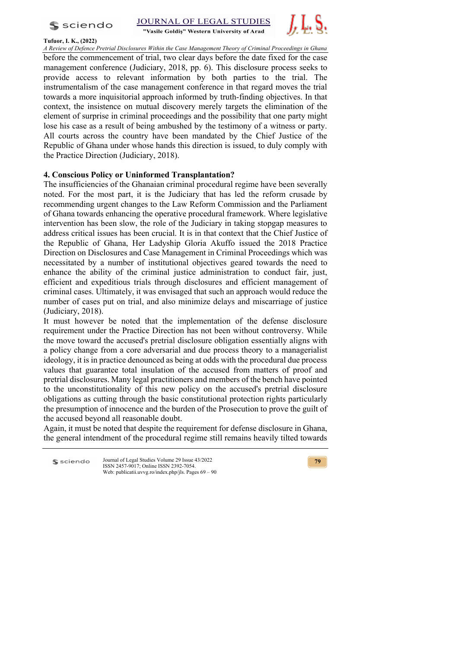$s$  sciendo

**Tufuor, I. K., (2022)**



"Vasile Goldis" Western University of Arad



*A Review of Defence Pretrial Disclosures Within the Case Management Theory of Criminal Proceedings in Ghana* before the commencement of trial, two clear days before the date fixed for the case management conference (Judiciary, 2018, pp. 6). This disclosure process seeks to provide access to relevant information by both parties to the trial. The instrumentalism of the case management conference in that regard moves the trial towards a more inquisitorial approach informed by truth-finding objectives. In that context, the insistence on mutual discovery merely targets the elimination of the element of surprise in criminal proceedings and the possibility that one party might lose his case as a result of being ambushed by the testimony of a witness or party. All courts across the country have been mandated by the Chief Justice of the Republic of Ghana under whose hands this direction is issued, to duly comply with the Practice Direction (Judiciary, 2018).

# **4. Conscious Policy or Uninformed Transplantation?**

The insufficiencies of the Ghanaian criminal procedural regime have been severally noted. For the most part, it is the Judiciary that has led the reform crusade by recommending urgent changes to the Law Reform Commission and the Parliament of Ghana towards enhancing the operative procedural framework. Where legislative intervention has been slow, the role of the Judiciary in taking stopgap measures to address critical issues has been crucial. It is in that context that the Chief Justice of the Republic of Ghana, Her Ladyship Gloria Akuffo issued the 2018 Practice Direction on Disclosures and Case Management in Criminal Proceedings which was necessitated by a number of institutional objectives geared towards the need to enhance the ability of the criminal justice administration to conduct fair, just, efficient and expeditious trials through disclosures and efficient management of criminal cases. Ultimately, it was envisaged that such an approach would reduce the number of cases put on trial, and also minimize delays and miscarriage of justice (Judiciary, 2018).

It must however be noted that the implementation of the defense disclosure requirement under the Practice Direction has not been without controversy. While the move toward the accused's pretrial disclosure obligation essentially aligns with a policy change from a core adversarial and due process theory to a managerialist ideology, it is in practice denounced as being at odds with the procedural due process values that guarantee total insulation of the accused from matters of proof and pretrial disclosures. Many legal practitioners and members of the bench have pointed to the unconstitutionality of this new policy on the accused's pretrial disclosure obligations as cutting through the basic constitutional protection rights particularly the presumption of innocence and the burden of the Prosecution to prove the guilt of the accused beyond all reasonable doubt.

Again, it must be noted that despite the requirement for defense disclosure in Ghana, the general intendment of the procedural regime still remains heavily tilted towards

Journal of Legal Studies Volume 29 Issue 43/2022 sciendo ISSN 2457-9017; Online ISSN 2392-7054. Web: publicatii.uvvg.ro/index.php/jls. Pages 69 – 90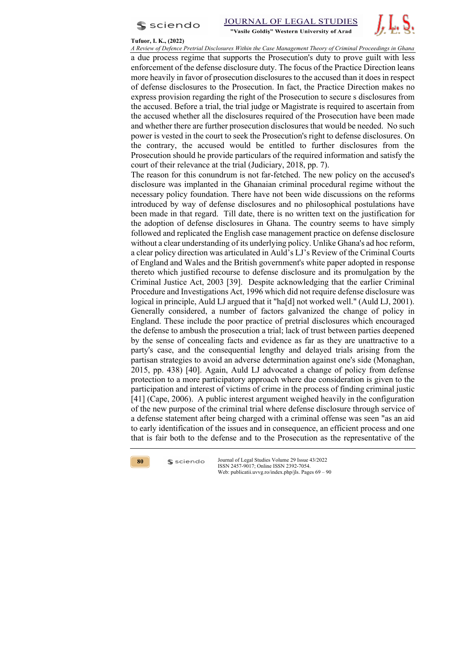



#### **Tufuor, I. K., (2022)**

*A Review of Defence Pretrial Disclosures Within the Case Management Theory of Criminal Proceedings in Ghana* a due process regime that supports the Prosecution's duty to prove guilt with less enforcement of the defense disclosure duty. The focus of the Practice Direction leans more heavily in favor of prosecution disclosures to the accused than it does in respect of defense disclosures to the Prosecution. In fact, the Practice Direction makes no express provision regarding the right of the Prosecution to secure s disclosures from the accused. Before a trial, the trial judge or Magistrate is required to ascertain from the accused whether all the disclosures required of the Prosecution have been made and whether there are further prosecution disclosures that would be needed. No such power is vested in the court to seek the Prosecution's right to defense disclosures. On the contrary, the accused would be entitled to further disclosures from the Prosecution should he provide particulars of the required information and satisfy the court of their relevance at the trial (Judiciary, 2018, pp. 7).

The reason for this conundrum is not far-fetched. The new policy on the accused's disclosure was implanted in the Ghanaian criminal procedural regime without the necessary policy foundation. There have not been wide discussions on the reforms introduced by way of defense disclosures and no philosophical postulations have been made in that regard. Till date, there is no written text on the justification for the adoption of defense disclosures in Ghana. The country seems to have simply followed and replicated the English case management practice on defense disclosure without a clear understanding of its underlying policy. Unlike Ghana's ad hoc reform, a clear policy direction was articulated in Auld's LJ's Review of the Criminal Courts of England and Wales and the British government's white paper adopted in response thereto which justified recourse to defense disclosure and its promulgation by the Criminal Justice Act, 2003 [39]. Despite acknowledging that the earlier Criminal Procedure and Investigations Act, 1996 which did not require defense disclosure was logical in principle, Auld LJ argued that it "ha[d] not worked well." (Auld LJ, 2001). Generally considered, a number of factors galvanized the change of policy in England. These include the poor practice of pretrial disclosures which encouraged the defense to ambush the prosecution a trial; lack of trust between parties deepened by the sense of concealing facts and evidence as far as they are unattractive to a party's case, and the consequential lengthy and delayed trials arising from the partisan strategies to avoid an adverse determination against one's side (Monaghan, 2015, pp. 438) [40]. Again, Auld LJ advocated a change of policy from defense protection to a more participatory approach where due consideration is given to the participation and interest of victims of crime in the process of finding criminal justic [41] (Cape, 2006). A public interest argument weighed heavily in the configuration of the new purpose of the criminal trial where defense disclosure through service of a defense statement after being charged with a criminal offense was seen "as an aid to early identification of the issues and in consequence, an efficient process and one that is fair both to the defense and to the Prosecution as the representative of the



 $s$  sciendo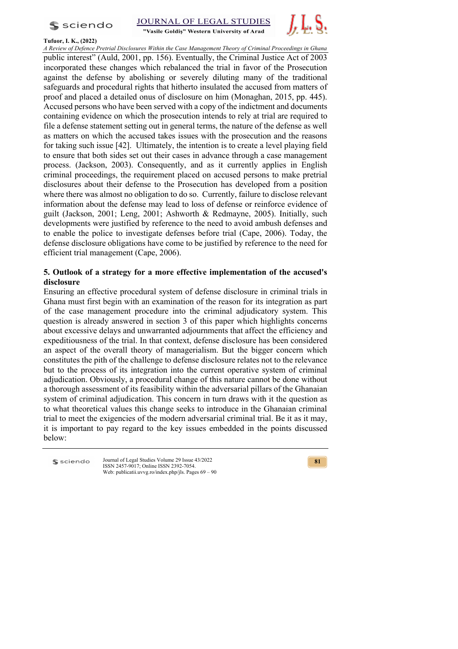s sciendo





### **Tufuor, I. K., (2022)**

*A Review of Defence Pretrial Disclosures Within the Case Management Theory of Criminal Proceedings in Ghana* public interest" (Auld, 2001, pp. 156). Eventually, the Criminal Justice Act of 2003 incorporated these changes which rebalanced the trial in favor of the Prosecution against the defense by abolishing or severely diluting many of the traditional safeguards and procedural rights that hitherto insulated the accused from matters of proof and placed a detailed onus of disclosure on him (Monaghan, 2015, pp. 445). Accused persons who have been served with a copy of the indictment and documents containing evidence on which the prosecution intends to rely at trial are required to file a defense statement setting out in general terms, the nature of the defense as well as matters on which the accused takes issues with the prosecution and the reasons for taking such issue [42]. Ultimately, the intention is to create a level playing field to ensure that both sides set out their cases in advance through a case management process. (Jackson, 2003). Consequently, and as it currently applies in English criminal proceedings, the requirement placed on accused persons to make pretrial disclosures about their defense to the Prosecution has developed from a position where there was almost no obligation to do so. Currently, failure to disclose relevant information about the defense may lead to loss of defense or reinforce evidence of guilt (Jackson, 2001; Leng, 2001; Ashworth & Redmayne, 2005). Initially, such developments were justified by reference to the need to avoid ambush defenses and to enable the police to investigate defenses before trial (Cape, 2006). Today, the defense disclosure obligations have come to be justified by reference to the need for efficient trial management (Cape, 2006).

# **5. Outlook of a strategy for a more effective implementation of the accused's disclosure**

Ensuring an effective procedural system of defense disclosure in criminal trials in Ghana must first begin with an examination of the reason for its integration as part of the case management procedure into the criminal adjudicatory system. This question is already answered in section 3 of this paper which highlights concerns about excessive delays and unwarranted adjournments that affect the efficiency and expeditiousness of the trial. In that context, defense disclosure has been considered an aspect of the overall theory of managerialism. But the bigger concern which constitutes the pith of the challenge to defense disclosure relates not to the relevance but to the process of its integration into the current operative system of criminal adjudication. Obviously, a procedural change of this nature cannot be done without a thorough assessment of its feasibility within the adversarial pillars of the Ghanaian system of criminal adjudication. This concern in turn draws with it the question as to what theoretical values this change seeks to introduce in the Ghanaian criminal trial to meet the exigencies of the modern adversarial criminal trial. Be it as it may, it is important to pay regard to the key issues embedded in the points discussed below:

sciendo

Journal of Legal Studies Volume 29 Issue 43/2022 ISSN 2457-9017; Online ISSN 2392-7054. Web: publicatii.uvvg.ro/index.php/jls. Pages 69 – 90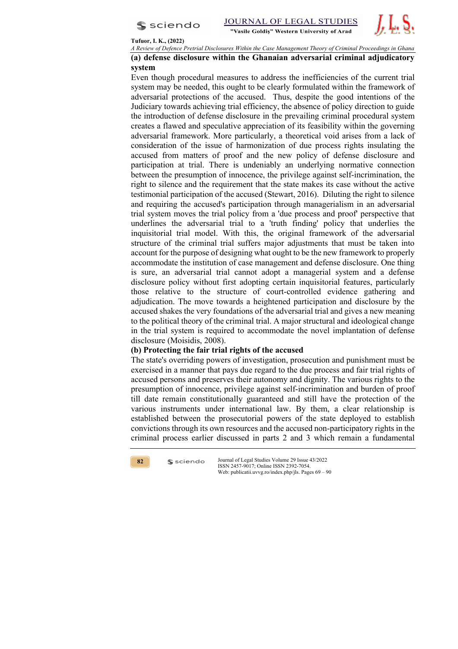



#### **Tufuor, I. K., (2022)**

*A Review of Defence Pretrial Disclosures Within the Case Management Theory of Criminal Proceedings in Ghana*

# **(a) defense disclosure within the Ghanaian adversarial criminal adjudicatory system**

Even though procedural measures to address the inefficiencies of the current trial system may be needed, this ought to be clearly formulated within the framework of adversarial protections of the accused. Thus, despite the good intentions of the Judiciary towards achieving trial efficiency, the absence of policy direction to guide the introduction of defense disclosure in the prevailing criminal procedural system creates a flawed and speculative appreciation of its feasibility within the governing adversarial framework. More particularly, a theoretical void arises from a lack of consideration of the issue of harmonization of due process rights insulating the accused from matters of proof and the new policy of defense disclosure and participation at trial. There is undeniably an underlying normative connection between the presumption of innocence, the privilege against self-incrimination, the right to silence and the requirement that the state makes its case without the active testimonial participation of the accused (Stewart, 2016). Diluting the right to silence and requiring the accused's participation through managerialism in an adversarial trial system moves the trial policy from a 'due process and proof' perspective that underlines the adversarial trial to a 'truth finding' policy that underlies the inquisitorial trial model. With this, the original framework of the adversarial structure of the criminal trial suffers major adjustments that must be taken into account for the purpose of designing what ought to be the new framework to properly accommodate the institution of case management and defense disclosure. One thing is sure, an adversarial trial cannot adopt a managerial system and a defense disclosure policy without first adopting certain inquisitorial features, particularly those relative to the structure of court-controlled evidence gathering and adjudication. The move towards a heightened participation and disclosure by the accused shakes the very foundations of the adversarial trial and gives a new meaning to the political theory of the criminal trial. A major structural and ideological change in the trial system is required to accommodate the novel implantation of defense disclosure (Moisidis, 2008).

### **(b) Protecting the fair trial rights of the accused**

The state's overriding powers of investigation, prosecution and punishment must be exercised in a manner that pays due regard to the due process and fair trial rights of accused persons and preserves their autonomy and dignity. The various rights to the presumption of innocence, privilege against self-incrimination and burden of proof till date remain constitutionally guaranteed and still have the protection of the various instruments under international law. By them, a clear relationship is established between the prosecutorial powers of the state deployed to establish convictions through its own resources and the accused non-participatory rights in the criminal process earlier discussed in parts 2 and 3 which remain a fundamental



 $s$  sciendo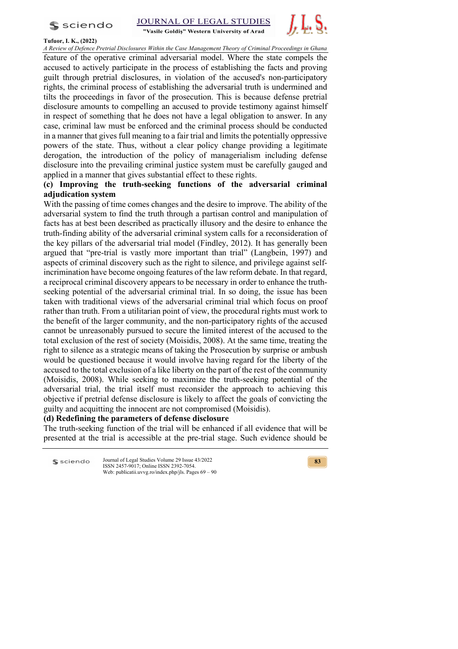s sciendo

JOURNAL OF LEGAL STUDIES

"Vasile Goldis" Western University of Arad



**Tufuor, I. K., (2022)**

*A Review of Defence Pretrial Disclosures Within the Case Management Theory of Criminal Proceedings in Ghana* feature of the operative criminal adversarial model. Where the state compels the accused to actively participate in the process of establishing the facts and proving guilt through pretrial disclosures, in violation of the accused's non-participatory rights, the criminal process of establishing the adversarial truth is undermined and tilts the proceedings in favor of the prosecution. This is because defense pretrial disclosure amounts to compelling an accused to provide testimony against himself in respect of something that he does not have a legal obligation to answer. In any case, criminal law must be enforced and the criminal process should be conducted in a manner that gives full meaning to a fair trial and limits the potentially oppressive powers of the state. Thus, without a clear policy change providing a legitimate derogation, the introduction of the policy of managerialism including defense disclosure into the prevailing criminal justice system must be carefully gauged and applied in a manner that gives substantial effect to these rights.

# **(c) Improving the truth-seeking functions of the adversarial criminal adjudication system**

With the passing of time comes changes and the desire to improve. The ability of the adversarial system to find the truth through a partisan control and manipulation of facts has at best been described as practically illusory and the desire to enhance the truth-finding ability of the adversarial criminal system calls for a reconsideration of the key pillars of the adversarial trial model (Findley, 2012). It has generally been argued that "pre-trial is vastly more important than trial" (Langbein, 1997) and aspects of criminal discovery such as the right to silence, and privilege against selfincrimination have become ongoing features of the law reform debate. In that regard, a reciprocal criminal discovery appears to be necessary in order to enhance the truthseeking potential of the adversarial criminal trial. In so doing, the issue has been taken with traditional views of the adversarial criminal trial which focus on proof rather than truth. From a utilitarian point of view, the procedural rights must work to the benefit of the larger community, and the non-participatory rights of the accused cannot be unreasonably pursued to secure the limited interest of the accused to the total exclusion of the rest of society (Moisidis, 2008). At the same time, treating the right to silence as a strategic means of taking the Prosecution by surprise or ambush would be questioned because it would involve having regard for the liberty of the accused to the total exclusion of a like liberty on the part of the rest of the community (Moisidis, 2008). While seeking to maximize the truth-seeking potential of the adversarial trial, the trial itself must reconsider the approach to achieving this objective if pretrial defense disclosure is likely to affect the goals of convicting the guilty and acquitting the innocent are not compromised (Moisidis).

# **(d) Redefining the parameters of defense disclosure**

The truth-seeking function of the trial will be enhanced if all evidence that will be presented at the trial is accessible at the pre-trial stage. Such evidence should be

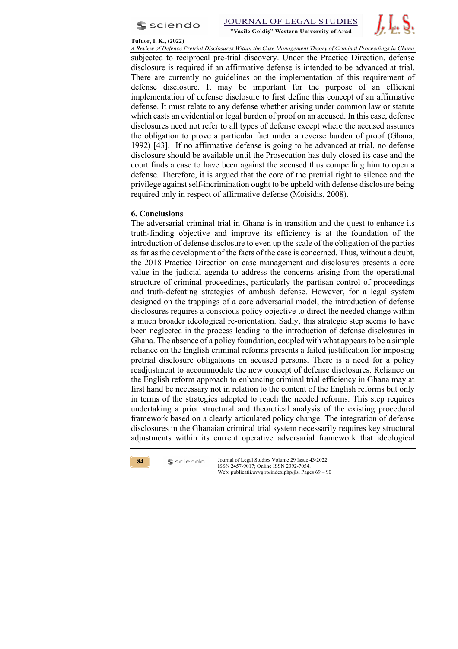



#### **Tufuor, I. K., (2022)**

*A Review of Defence Pretrial Disclosures Within the Case Management Theory of Criminal Proceedings in Ghana* subjected to reciprocal pre-trial discovery. Under the Practice Direction, defense disclosure is required if an affirmative defense is intended to be advanced at trial. There are currently no guidelines on the implementation of this requirement of defense disclosure. It may be important for the purpose of an efficient implementation of defense disclosure to first define this concept of an affirmative defense. It must relate to any defense whether arising under common law or statute which casts an evidential or legal burden of proof on an accused. In this case, defense disclosures need not refer to all types of defense except where the accused assumes the obligation to prove a particular fact under a reverse burden of proof (Ghana, 1992) [43]. If no affirmative defense is going to be advanced at trial, no defense disclosure should be available until the Prosecution has duly closed its case and the court finds a case to have been against the accused thus compelling him to open a defense. Therefore, it is argued that the core of the pretrial right to silence and the privilege against self-incrimination ought to be upheld with defense disclosure being required only in respect of affirmative defense (Moisidis, 2008).

### **6. Conclusions**

The adversarial criminal trial in Ghana is in transition and the quest to enhance its truth-finding objective and improve its efficiency is at the foundation of the introduction of defense disclosure to even up the scale of the obligation of the parties as far as the development of the facts of the case is concerned. Thus, without a doubt, the 2018 Practice Direction on case management and disclosures presents a core value in the judicial agenda to address the concerns arising from the operational structure of criminal proceedings, particularly the partisan control of proceedings and truth-defeating strategies of ambush defense. However, for a legal system designed on the trappings of a core adversarial model, the introduction of defense disclosures requires a conscious policy objective to direct the needed change within a much broader ideological re-orientation. Sadly, this strategic step seems to have been neglected in the process leading to the introduction of defense disclosures in Ghana. The absence of a policy foundation, coupled with what appears to be a simple reliance on the English criminal reforms presents a failed justification for imposing pretrial disclosure obligations on accused persons. There is a need for a policy readjustment to accommodate the new concept of defense disclosures. Reliance on the English reform approach to enhancing criminal trial efficiency in Ghana may at first hand be necessary not in relation to the content of the English reforms but only in terms of the strategies adopted to reach the needed reforms. This step requires undertaking a prior structural and theoretical analysis of the existing procedural framework based on a clearly articulated policy change. The integration of defense disclosures in the Ghanaian criminal trial system necessarily requires key structural adjustments within its current operative adversarial framework that ideological



 $s$  sciendo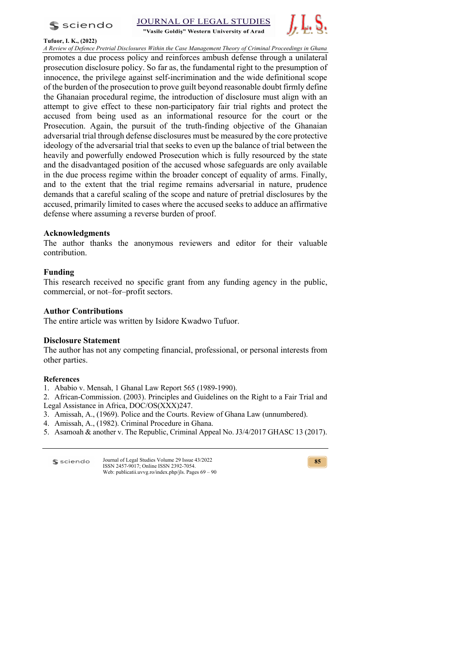$s$  sciendo





### **Tufuor, I. K., (2022)**

*A Review of Defence Pretrial Disclosures Within the Case Management Theory of Criminal Proceedings in Ghana* promotes a due process policy and reinforces ambush defense through a unilateral prosecution disclosure policy. So far as, the fundamental right to the presumption of innocence, the privilege against self-incrimination and the wide definitional scope of the burden of the prosecution to prove guilt beyond reasonable doubt firmly define the Ghanaian procedural regime, the introduction of disclosure must align with an attempt to give effect to these non-participatory fair trial rights and protect the accused from being used as an informational resource for the court or the Prosecution. Again, the pursuit of the truth-finding objective of the Ghanaian adversarial trial through defense disclosures must be measured by the core protective ideology of the adversarial trial that seeks to even up the balance of trial between the heavily and powerfully endowed Prosecution which is fully resourced by the state and the disadvantaged position of the accused whose safeguards are only available in the due process regime within the broader concept of equality of arms. Finally, and to the extent that the trial regime remains adversarial in nature, prudence demands that a careful scaling of the scope and nature of pretrial disclosures by the accused, primarily limited to cases where the accused seeks to adduce an affirmative defense where assuming a reverse burden of proof.

### **Acknowledgments**

The author thanks the anonymous reviewers and editor for their valuable contribution.

# **Funding**

This research received no specific grant from any funding agency in the public, commercial, or not–for–profit sectors.

# **Author Contributions**

The entire article was written by Isidore Kwadwo Tufuor.

# **Disclosure Statement**

The author has not any competing financial, professional, or personal interests from other parties.

### **References**

1. Ababio v. Mensah, 1 Ghanal Law Report 565 (1989-1990).

2. African-Commission. (2003). Principles and Guidelines on the Right to a Fair Trial and Legal Assistance in Africa, DOC/OS(XXX)247.

- 3. Amissah, A., (1969). Police and the Courts. Review of Ghana Law (unnumbered).
- 4. Amissah, A., (1982). Criminal Procedure in Ghana.
- 5. Asamoah & another v. The Republic, Criminal Appeal No. J3/4/2017 GHASC 13 (2017).

| $\mathsf{\$}$ sciendo | Journal of Legal Studies Volume 29 Issue 43/2022       |
|-----------------------|--------------------------------------------------------|
|                       | ISSN 2457-9017: Online ISSN 2392-7054.                 |
|                       | Web: publicatii.uvvg.ro/index.php/jls. Pages $69 - 90$ |

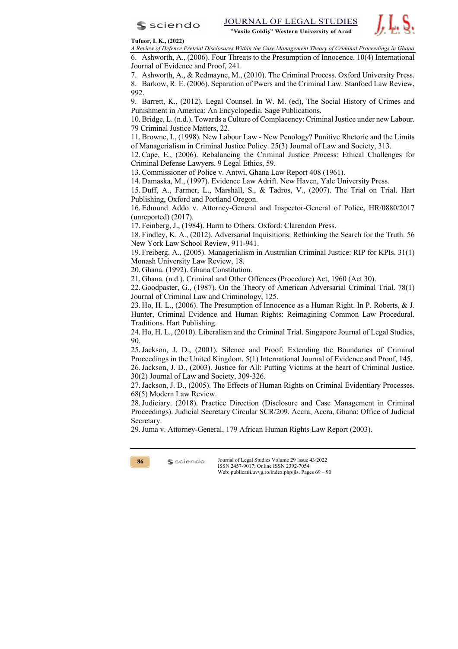



### **Tufuor, I. K., (2022)**

*A Review of Defence Pretrial Disclosures Within the Case Management Theory of Criminal Proceedings in Ghana* 6. Ashworth, A., (2006). Four Threats to the Presumption of Innocence. 10(4) International Journal of Evidence and Proof, 241.

7. Ashworth, A., & Redmayne, M., (2010). The Criminal Process. Oxford University Press. 8. Barkow, R. E. (2006). Separation of Pwers and the Criminal Law. Stanfoed Law Review, 992.

9. Barrett, K., (2012). Legal Counsel. In W. M. (ed), The Social History of Crimes and Punishment in America: An Encyclopedia. Sage Publications.

10.Bridge, L. (n.d.). Towards a Culture of Complacency: Criminal Justice under new Labour. 79 Criminal Justice Matters, 22.

11.Browne, I., (1998). New Labour Law - New Penology? Punitive Rhetoric and the Limits of Managerialism in Criminal Justice Policy. 25(3) Journal of Law and Society, 313.

12.Cape, E., (2006). Rebalancing the Criminal Justice Process: Ethical Challenges for Criminal Defense Lawyers. 9 Legal Ethics, 59.

13.Commissioner of Police v. Antwi, Ghana Law Report 408 (1961).

14. Damaska, M., (1997). Evidence Law Adrift. New Haven, Yale University Press.

15. Duff, A., Farmer, L., Marshall, S., & Tadros, V., (2007). The Trial on Trial. Hart Publishing, Oxford and Portland Oregon.

16. Edmund Addo v. Attorney-General and Inspector-General of Police, HR/0880/2017 (unreported) (2017).

17. Feinberg, J., (1984). Harm to Others. Oxford: Clarendon Press.

18. Findley, K. A., (2012). Adversarial Inquisitions: Rethinking the Search for the Truth. 56 New York Law School Review, 911-941.

19. Freiberg, A., (2005). Managerialism in Australian Criminal Justice: RIP for KPIs. 31(1) Monash University Law Review, 18.

20. Ghana. (1992). Ghana Constitution.

 $s$  sciendo

21. Ghana. (n.d.). Criminal and Other Offences (Procedure) Act, 1960 (Act 30).

22. Goodpaster, G., (1987). On the Theory of American Adversarial Criminal Trial. 78(1) Journal of Criminal Law and Criminology, 125.

23. Ho, H. L., (2006). The Presumption of Innocence as a Human Right. In P. Roberts, & J. Hunter, Criminal Evidence and Human Rights: Reimagining Common Law Procedural. Traditions. Hart Publishing.

24. Ho, H. L., (2010). Liberalism and the Criminal Trial. Singapore Journal of Legal Studies, 90.

25.Jackson, J. D., (2001). Silence and Proof: Extending the Boundaries of Criminal Proceedings in the United Kingdom. 5(1) International Journal of Evidence and Proof, 145.

26.Jackson, J. D., (2003). Justice for All: Putting Victims at the heart of Criminal Justice. 30(2) Journal of Law and Society, 309-326.

27.Jackson, J. D., (2005). The Effects of Human Rights on Criminal Evidentiary Processes. 68(5) Modern Law Review.

28.Judiciary. (2018). Practice Direction (Disclosure and Case Management in Criminal Proceedings). Judicial Secretary Circular SCR/209. Accra, Accra, Ghana: Office of Judicial Secretary.

29.Juma v. Attorney-General, 179 African Human Rights Law Report (2003).

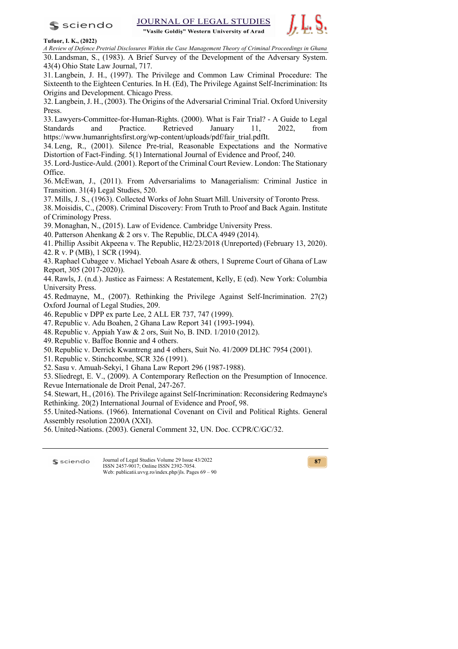$s$  sciendo

**JOURNAL OF LEGAI STUDIES** 

"Vasile Goldiș" Western University of Arad



**Tufuor, I. K., (2022)**

*A Review of Defence Pretrial Disclosures Within the Case Management Theory of Criminal Proceedings in Ghana* 30. Landsman, S., (1983). A Brief Survey of the Development of the Adversary System. 43(4) Ohio State Law Journal, 717.

31. Langbein, J. H., (1997). The Privilege and Common Law Criminal Procedure: The Sixteenth to the Eighteen Centuries. In H. (Ed), The Privilege Against Self-Incrimination: Its Origins and Development. Chicago Press.

32. Langbein, J. H., (2003). The Origins of the Adversarial Criminal Trial. Oxford University Press.

33. Lawyers-Committee-for-Human-Rights. (2000). What is Fair Trial? - A Guide to Legal Standards and Practice. Retrieved January 11, 2022, from https://www.humanrightsfirst.org/wp-content/uploads/pdf/fair\_trial.pdfIt.

34. Leng, R., (2001). Silence Pre-trial, Reasonable Expectations and the Normative Distortion of Fact-Finding. 5(1) International Journal of Evidence and Proof, 240.

35. Lord-Justice-Auld. (2001). Report of the Criminal Court Review. London: The Stationary Office.

36. McEwan, J., (2011). From Adversarialims to Managerialism: Criminal Justice in Transition. 31(4) Legal Studies, 520.

37. Mills, J. S., (1963). Collected Works of John Stuart Mill. University of Toronto Press.

38. Moisidis, C., (2008). Criminal Discovery: From Truth to Proof and Back Again. Institute of Criminology Press.

39. Monaghan, N., (2015). Law of Evidence. Cambridge University Press.

40. Patterson Ahenkang & 2 ors v. The Republic, DLCA 4949 (2014).

41. Phillip Assibit Akpeena v. The Republic, H2/23/2018 (Unreported) (February 13, 2020). 42.R v. P (MB), 1 SCR (1994).

43.Raphael Cubagee v. Michael Yeboah Asare & others, 1 Supreme Court of Ghana of Law Report, 305 (2017-2020)).

44.Rawls, J. (n.d.). Justice as Fairness: A Restatement, Kelly, E (ed). New York: Columbia University Press.

45.Redmayne, M., (2007). Rethinking the Privilege Against Self-Incrimination. 27(2) Oxford Journal of Legal Studies, 209.

46.Republic v DPP ex parte Lee, 2 ALL ER 737, 747 (1999).

47.Republic v. Adu Boahen, 2 Ghana Law Report 341 (1993-1994).

48.Republic v. Appiah Yaw & 2 ors, Suit No, B. IND. 1/2010 (2012).

49.Republic v. Baffoe Bonnie and 4 others.

- 50.Republic v. Derrick Kwantreng and 4 others, Suit No. 41/2009 DLHC 7954 (2001).
- 51.Republic v. Stinchcombe, SCR 326 (1991).
- 52. Sasu v. Amuah-Sekyi, 1 Ghana Law Report 296 (1987-1988).

53. Sliedregt, E. V., (2009). A Contemporary Reflection on the Presumption of Innocence. Revue Internationale de Droit Penal, 247-267.

54. Stewart, H., (2016). The Privilege against Self-Incrimination: Reconsidering Redmayne's Rethinking. 20(2) International Journal of Evidence and Proof, 98.

55. United-Nations. (1966). International Covenant on Civil and Political Rights. General Assembly resolution 2200A (XXI).

56. United-Nations. (2003). General Comment 32, UN. Doc. CCPR/C/GC/32.

Journal of Legal Studies Volume 29 Issue 43/2022 **S** sciendo ISSN 2457-9017; Online ISSN 2392-7054. Web: publicatii.uvvg.ro/index.php/jls. Pages 69 – 90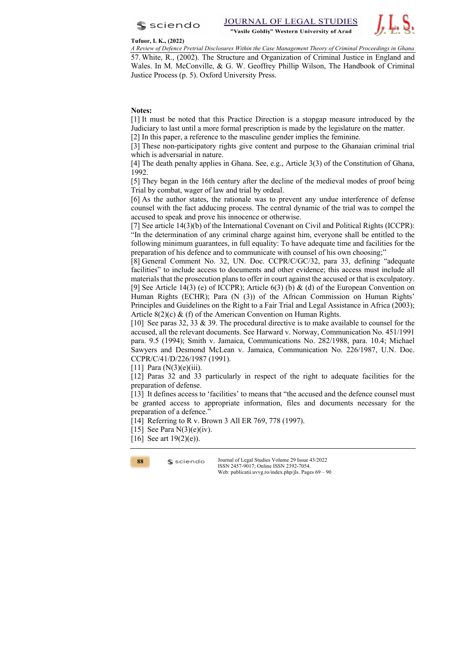



#### **Tufuor, I. K., (2022)**

*A Review of Defence Pretrial Disclosures Within the Case Management Theory of Criminal Proceedings in Ghana* 57. White, R., (2002). The Structure and Organization of Criminal Justice in England and Wales. In M. McConville, & G. W. Geoffrey Phillip Wilson, The Handbook of Criminal Justice Process (p. 5). Oxford University Press.

### **Notes:**

[1] It must be noted that this Practice Direction is a stopgap measure introduced by the Judiciary to last until a more formal prescription is made by the legislature on the matter.

[2] In this paper, a reference to the masculine gender implies the feminine.

[3] These non-participatory rights give content and purpose to the Ghanaian criminal trial which is adversarial in nature.

[4] The death penalty applies in Ghana. See, e.g., Article 3(3) of the Constitution of Ghana, 1992.

[5] They began in the 16th century after the decline of the medieval modes of proof being Trial by combat, wager of law and trial by ordeal.

[6] As the author states, the rationale was to prevent any undue interference of defense counsel with the fact adducing process. The central dynamic of the trial was to compel the accused to speak and prove his innocence or otherwise.

[7] See article 14(3)(b) of the International Covenant on Civil and Political Rights (ICCPR): "In the determination of any criminal charge against him, everyone shall be entitled to the following minimum guarantees, in full equality: To have adequate time and facilities for the preparation of his defence and to communicate with counsel of his own choosing;"

[8] General Comment No. 32, UN. Doc. CCPR/C/GC/32, para 33, defining "adequate facilities" to include access to documents and other evidence; this access must include all materials that the prosecution plans to offer in court against the accused or that is exculpatory. [9] See Article 14(3) (e) of ICCPR); Article  $6(3)$  (b) & (d) of the European Convention on Human Rights (ECHR); Para (N (3)) of the African Commission on Human Rights' Principles and Guidelines on the Right to a Fair Trial and Legal Assistance in Africa (2003); Article 8(2)(c) & (f) of the American Convention on Human Rights.

[10] See paras 32, 33 & 39. The procedural directive is to make available to counsel for the accused, all the relevant documents. See Harward v. Norway, Communication No. 451/1991 para. 9.5 (1994); Smith v. Jamaica, Communications No. 282/1988, para. 10.4; Michael Sawyers and Desmond McLean v. Jamaica, Communication No. 226/1987, U.N. Doc. CCPR/C/41/D/226/1987 (1991).

[11] Para  $(N(3)(e)(iii))$ .

[12] Paras 32 and 33 particularly in respect of the right to adequate facilities for the preparation of defense.

[13] It defines access to 'facilities' to means that "the accused and the defence counsel must be granted access to appropriate information, files and documents necessary for the preparation of a defence."

[14] Referring to R v. Brown 3 All ER 769, 778 (1997).

[15] See Para  $N(3)(e)(iv)$ .

 $s$  sciendo

[16] See art  $19(2)(e)$ ).

**88**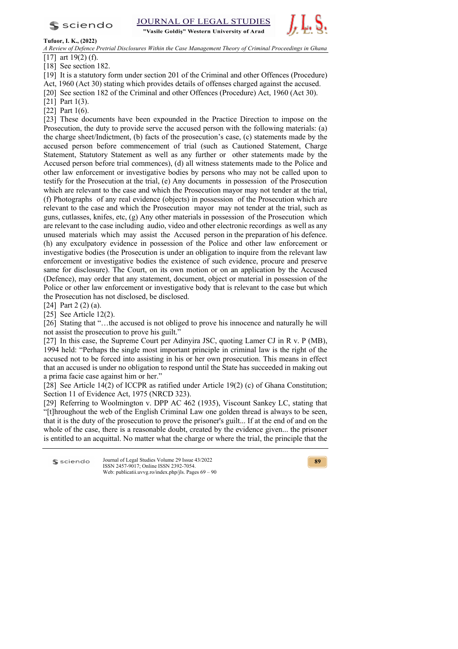$s$  sciendo

JOURNAL OF LEGAI

"Vasile Goldis" Western University of Arad



### **Tufuor, I. K., (2022)**

*A Review of Defence Pretrial Disclosures Within the Case Management Theory of Criminal Proceedings in Ghana*  $\sqrt{17}$  art 19(2) (f).

[18] See section 182.

[19] It is a statutory form under section 201 of the Criminal and other Offences (Procedure) Act, 1960 (Act 30) stating which provides details of offenses charged against the accused.

[20] See section 182 of the Criminal and other Offences (Procedure) Act, 1960 (Act 30).

[21] Part 1(3).

[22] Part 1(6).

[23] These documents have been expounded in the Practice Direction to impose on the Prosecution, the duty to provide serve the accused person with the following materials: (a) the charge sheet/Indictment, (b) facts of the prosecution's case, (c) statements made by the accused person before commencement of trial (such as Cautioned Statement, Charge Statement, Statutory Statement as well as any further or other statements made by the Accused person before trial commences), (d) all witness statements made to the Police and other law enforcement or investigative bodies by persons who may not be called upon to testify for the Prosecution at the trial, (e) Any documents in possession of the Prosecution which are relevant to the case and which the Prosecution mayor may not tender at the trial, (f) Photographs of any real evidence (objects) in possession of the Prosecution which are relevant to the case and which the Prosecution mayor may not tender at the trial, such as guns, cutlasses, knifes, etc,  $(g)$  Any other materials in possession of the Prosecution which are relevant to the case including audio, video and other electronic recordings as well as any unused materials which may assist the Accused person in the preparation of his defence. (h) any exculpatory evidence in possession of the Police and other law enforcement or investigative bodies (the Prosecution is under an obligation to inquire from the relevant law enforcement or investigative bodies the existence of such evidence, procure and preserve same for disclosure). The Court, on its own motion or on an application by the Accused (Defence), may order that any statement, document, object or material in possession of the Police or other law enforcement or investigative body that is relevant to the case but which the Prosecution has not disclosed, be disclosed.

[24] Part 2 (2) (a).

[25] See Article 12(2).

[26] Stating that "…the accused is not obliged to prove his innocence and naturally he will not assist the prosecution to prove his guilt."

[27] In this case, the Supreme Court per Adinyira JSC, quoting Lamer CJ in R v. P (MB), 1994 held: "Perhaps the single most important principle in criminal law is the right of the accused not to be forced into assisting in his or her own prosecution. This means in effect that an accused is under no obligation to respond until the State has succeeded in making out a prima facie case against him or her."

[28] See Article 14(2) of ICCPR as ratified under Article 19(2) (c) of Ghana Constitution; Section 11 of Evidence Act, 1975 (NRCD 323).

[29] Referring to Woolmington v. DPP AC 462 (1935), Viscount Sankey LC, stating that "[t]hroughout the web of the English Criminal Law one golden thread is always to be seen, that it is the duty of the prosecution to prove the prisoner's guilt... If at the end of and on the whole of the case, there is a reasonable doubt, created by the evidence given... the prisoner is entitled to an acquittal. No matter what the charge or where the trial, the principle that the

Journal of Legal Studies Volume 29 Issue 43/2022 sciendo ISSN 2457-9017; Online ISSN 2392-7054. Web: publicatii.uvvg.ro/index.php/jls. Pages 69 – 90